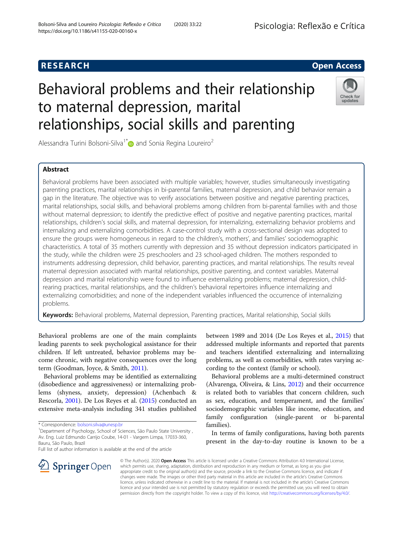# Behavioral problems and their relationship to maternal depression, marital relationships, social skills and parenting

Alessandra Turini Bolsoni-Silva<sup>1[\\*](http://orcid.org/0000-0001-8091-9583)</sup> and Sonia Regina Loureiro<sup>2</sup>

# Abstract

Behavioral problems have been associated with multiple variables; however, studies simultaneously investigating parenting practices, marital relationships in bi-parental families, maternal depression, and child behavior remain a gap in the literature. The objective was to verify associations between positive and negative parenting practices, marital relationships, social skills, and behavioral problems among children from bi-parental families with and those without maternal depression; to identify the predictive effect of positive and negative parenting practices, marital relationships, children's social skills, and maternal depression, for internalizing, externalizing behavior problems and internalizing and externalizing comorbidities. A case-control study with a cross-sectional design was adopted to ensure the groups were homogeneous in regard to the children's, mothers', and families' sociodemographic characteristics. A total of 35 mothers currently with depression and 35 without depression indicators participated in the study, while the children were 25 preschoolers and 23 school-aged children. The mothers responded to instruments addressing depression, child behavior, parenting practices, and marital relationships. The results reveal maternal depression associated with marital relationships, positive parenting, and context variables. Maternal depression and marital relationship were found to influence externalizing problems; maternal depression, childrearing practices, marital relationships, and the children's behavioral repertoires influence internalizing and externalizing comorbidities; and none of the independent variables influenced the occurrence of internalizing problems.

Keywords: Behavioral problems, Maternal depression, Parenting practices, Marital relationship, Social skills

Behavioral problems are one of the main complaints leading parents to seek psychological assistance for their children. If left untreated, behavior problems may become chronic, with negative consequences over the long term (Goodman, Joyce, & Smith, [2011\)](#page-11-0).

Behavioral problems may be identified as externalizing (disobedience and aggressiveness) or internalizing problems (shyness, anxiety, depression) (Achenbach & Rescorla, [2001\)](#page-11-0). De Los Reyes et al. ([2015\)](#page-11-0) conducted an extensive meta-analysis including 341 studies published

SpringerOpen

Full list of author information is available at the end of the article

between 1989 and 2014 (De Los Reyes et al., [2015\)](#page-11-0) that addressed multiple informants and reported that parents and teachers identified externalizing and internalizing problems, as well as comorbidities, with rates varying according to the context (family or school).

Behavioral problems are a multi-determined construct (Alvarenga, Oliveira, & Lins, [2012\)](#page-11-0) and their occurrence is related both to variables that concern children, such as sex, education, and temperament, and the families' sociodemographic variables like income, education, and family configuration (single-parent or bi-parental families).

In terms of family configurations, having both parents present in the day-to-day routine is known to be a

© The Author(s). 2020 Open Access This article is licensed under a Creative Commons Attribution 4.0 International License, which permits use, sharing, adaptation, distribution and reproduction in any medium or format, as long as you give appropriate credit to the original author(s) and the source, provide a link to the Creative Commons licence, and indicate if changes were made. The images or other third party material in this article are included in the article's Creative Commons licence, unless indicated otherwise in a credit line to the material. If material is not included in the article's Creative Commons licence and your intended use is not permitted by statutory regulation or exceeds the permitted use, you will need to obtain permission directly from the copyright holder. To view a copy of this licence, visit <http://creativecommons.org/licenses/by/4.0/>.





# **RESEARCH CHE Open Access**

<sup>\*</sup> Correspondence: [bolsoni.silva@unesp.br](mailto:bolsoni.silva@unesp.br) <sup>1</sup>

Department of Psychology, School of Sciences, São Paulo State University , Av. Eng. Luiz Edmundo Carrijo Coube, 14-01 - Vargem Limpa, 17033-360, Bauru, São Paulo, Brazil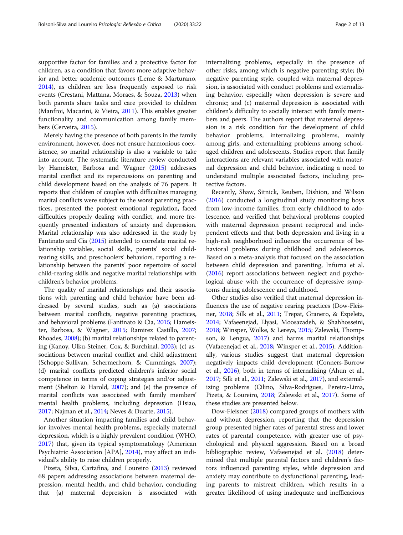supportive factor for families and a protective factor for children, as a condition that favors more adaptive behavior and better academic outcomes (Leme & Marturano, [2014](#page-11-0)), as children are less frequently exposed to risk events (Crestani, Mattana, Moraes, & Souza, [2013](#page-11-0)) when both parents share tasks and care provided to children (Manfroi, Macarini, & Vieira, [2011](#page-11-0)). This enables greater functionality and communication among family members (Cerveira, [2015\)](#page-11-0).

Merely having the presence of both parents in the family environment, however, does not ensure harmonious coexistence, so marital relationship is also a variable to take into account. The systematic literature review conducted by Hameister, Barbosa and Wagner ([2015\)](#page-11-0) addresses marital conflict and its repercussions on parenting and child development based on the analysis of 76 papers. It reports that children of couples with difficulties managing marital conflicts were subject to the worst parenting practices, presented the poorest emotional regulation, faced difficulties properly dealing with conflict, and more frequently presented indicators of anxiety and depression. Marital relationship was also addressed in the study by Fantinato and Cia [\(2015](#page-11-0)) intended to correlate marital relationship variables, social skills, parents' social childrearing skills, and preschoolers' behaviors, reporting a relationship between the parents' poor repertoire of social child-rearing skills and negative marital relationships with children's behavior problems.

The quality of marital relationships and their associations with parenting and child behavior have been addressed by several studies, such as (a) associations between marital conflicts, negative parenting practices, and behavioral problems (Fantinato & Cia, [2015](#page-11-0); Hameister, Barbosa, & Wagner, [2015;](#page-11-0) Ramirez Castillo, [2007](#page-12-0); Rhoades, [2008](#page-12-0)); (b) marital relationships related to parenting (Kanoy, Ulku-Steiner, Cox, & Burchinal, [2003](#page-11-0)); (c) associations between marital conflict and child adjustment (Schoppe-Sullivan, Schermerhorn, & Cummings, [2007](#page-12-0)); (d) marital conflicts predicted children's inferior social competence in terms of coping strategies and/or adjustment (Shelton & Harold, [2007\)](#page-12-0); and (e) the presence of marital conflicts was associated with family members' mental health problems, including depression (Hsiao, [2017;](#page-11-0) Najman et al., [2014;](#page-11-0) Neves & Duarte, [2015\)](#page-11-0).

Another situation impacting families and child behavior involves mental health problems, especially maternal depression, which is a highly prevalent condition (WHO, [2017](#page-12-0)) that, given its typical symptomatology (American Psychiatric Association [APA], [2014\)](#page-11-0), may affect an individual's ability to raise children properly.

Pizeta, Silva, Cartafina, and Loureiro [\(2013](#page-11-0)) reviewed 68 papers addressing associations between maternal depression, mental health, and child behavior, concluding that (a) maternal depression is associated with internalizing problems, especially in the presence of other risks, among which is negative parenting style; (b) negative parenting style, coupled with maternal depression, is associated with conduct problems and externalizing behavior, especially when depression is severe and chronic; and (c) maternal depression is associated with children's difficulty to socially interact with family members and peers. The authors report that maternal depression is a risk condition for the development of child behavior problems, internalizing problems, mainly among girls, and externalizing problems among schoolaged children and adolescents. Studies report that family interactions are relevant variables associated with maternal depression and child behavior, indicating a need to understand multiple associated factors, including protective factors.

Recently, Shaw, Sitnick, Reuben, Dishion, and Wilson ([2016\)](#page-12-0) conducted a longitudinal study monitoring boys from low-income families, from early childhood to adolescence, and verified that behavioral problems coupled with maternal depression present reciprocal and independent effects and that both depression and living in a high-risk neighborhood influence the occurrence of behavioral problems during childhood and adolescence. Based on a meta-analysis that focused on the association between child depression and parenting, Infurna et al. ([2016\)](#page-11-0) report associations between neglect and psychological abuse with the occurrence of depressive symptoms during adolescence and adulthood.

Other studies also verified that maternal depression influences the use of negative rearing practices (Dow-Fleisner, [2018](#page-11-0); Silk et al., [2011;](#page-12-0) Trepat, Granero, & Ezpeleta, [2014;](#page-12-0) Vafaeenejad, Elyasi, Moosazadeh, & Shahhosseini, [2018;](#page-12-0) Winsper, Wolke, & Lereya, [2015](#page-12-0); Zalewski, Thompson, & Lengua, [2017\)](#page-12-0) and harms marital relationships (Vafaeenejad et al., [2018;](#page-12-0) Winsper et al., [2015](#page-12-0)). Additionally, various studies suggest that maternal depression negatively impacts child development (Conners-Burrow et al., [2016](#page-11-0)), both in terms of internalizing (Ahun et al., [2017;](#page-11-0) Silk et al., [2011](#page-12-0); Zalewski et al., [2017\)](#page-12-0), and externalizing problems (Cilino, Silva-Rodrigues, Pereira-Lima, Pizeta, & Loureiro, [2018](#page-11-0); Zalewski et al., [2017](#page-12-0)). Some of these studies are presented below.

Dow-Fleisner [\(2018](#page-11-0)) compared groups of mothers with and without depression, reporting that the depression group presented higher rates of parental stress and lower rates of parental competence, with greater use of psychological and physical aggression. Based on a broad bibliographic review, Vafaeenejad et al. [\(2018\)](#page-12-0) determined that multiple parental factors and children's factors influenced parenting styles, while depression and anxiety may contribute to dysfunctional parenting, leading parents to mistreat children, which results in a greater likelihood of using inadequate and inefficacious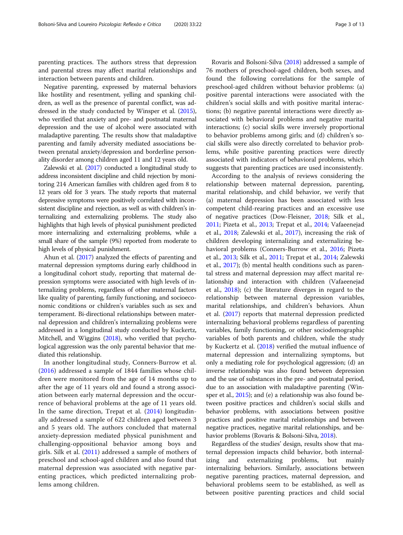parenting practices. The authors stress that depression and parental stress may affect marital relationships and interaction between parents and children.

Negative parenting, expressed by maternal behaviors like hostility and resentment, yelling and spanking children, as well as the presence of parental conflict, was addressed in the study conducted by Winsper et al. [\(2015](#page-12-0)), who verified that anxiety and pre- and postnatal maternal depression and the use of alcohol were associated with maladaptive parenting. The results show that maladaptive parenting and family adversity mediated associations between prenatal anxiety/depression and borderline personality disorder among children aged 11 and 12 years old.

Zalewski et al. ([2017\)](#page-12-0) conducted a longitudinal study to address inconsistent discipline and child rejection by monitoring 214 American families with children aged from 8 to 12 years old for 3 years. The study reports that maternal depressive symptoms were positively correlated with inconsistent discipline and rejection, as well as with children's internalizing and externalizing problems. The study also highlights that high levels of physical punishment predicted more internalizing and externalizing problems, while a small share of the sample (9%) reported from moderate to high levels of physical punishment.

Ahun et al. [\(2017](#page-11-0)) analyzed the effects of parenting and maternal depression symptoms during early childhood in a longitudinal cohort study, reporting that maternal depression symptoms were associated with high levels of internalizing problems, regardless of other maternal factors like quality of parenting, family functioning, and socioeconomic conditions or children's variables such as sex and temperament. Bi-directional relationships between maternal depression and children's internalizing problems were addressed in a longitudinal study conducted by Kuckertz, Mitchell, and Wiggins ([2018\)](#page-11-0), who verified that psychological aggression was the only parental behavior that mediated this relationship.

In another longitudinal study, Conners-Burrow et al. ([2016\)](#page-11-0) addressed a sample of 1844 families whose children were monitored from the age of 14 months up to after the age of 11 years old and found a strong association between early maternal depression and the occurrence of behavioral problems at the age of 11 years old. In the same direction, Trepat et al. ([2014\)](#page-12-0) longitudinally addressed a sample of 622 children aged between 3 and 5 years old. The authors concluded that maternal anxiety-depression mediated physical punishment and challenging-oppositional behavior among boys and girls. Silk et al. [\(2011](#page-12-0)) addressed a sample of mothers of preschool and school-aged children and also found that maternal depression was associated with negative parenting practices, which predicted internalizing problems among children.

Rovaris and Bolsoni-Silva ([2018\)](#page-12-0) addressed a sample of 76 mothers of preschool-aged children, both sexes, and found the following correlations for the sample of preschool-aged children without behavior problems: (a) positive parental interactions were associated with the children's social skills and with positive marital interactions; (b) negative parental interactions were directly associated with behavioral problems and negative marital interactions; (c) social skills were inversely proportional to behavior problems among girls; and (d) children's social skills were also directly correlated to behavior problems, while positive parenting practices were directly associated with indicators of behavioral problems, which suggests that parenting practices are used inconsistently.

According to the analysis of reviews considering the relationship between maternal depression, parenting, marital relationship, and child behavior, we verify that (a) maternal depression has been associated with less competent child-rearing practices and an excessive use of negative practices (Dow-Fleisner, [2018](#page-11-0); Silk et al., [2011](#page-12-0); Pizeta et al., [2013;](#page-11-0) Trepat et al., [2014;](#page-12-0) Vafaeenejad et al., [2018;](#page-12-0) Zalewski et al., [2017](#page-12-0)), increasing the risk of children developing internalizing and externalizing behavioral problems (Conners-Burrow et al., [2016;](#page-11-0) Pizeta et al., [2013](#page-11-0); Silk et al., [2011](#page-12-0); Trepat et al., [2014;](#page-12-0) Zalewski et al., [2017\)](#page-12-0); (b) mental health conditions such as parental stress and maternal depression may affect marital relationship and interaction with children (Vafaeenejad et al., [2018](#page-12-0)); (c) the literature diverges in regard to the relationship between maternal depression variables, marital relationships, and children's behaviors. Ahun et al. ([2017](#page-11-0)) reports that maternal depression predicted internalizing behavioral problems regardless of parenting variables, family functioning, or other sociodemographic variables of both parents and children, while the study by Kuckertz et al. [\(2018\)](#page-11-0) verified the mutual influence of maternal depression and internalizing symptoms, but only a mediating role for psychological aggression; (d) an inverse relationship was also found between depression and the use of substances in the pre- and postnatal period, due to an association with maladaptive parenting (Winsper et al., [2015](#page-12-0)); and (e) a relationship was also found between positive practices and children's social skills and behavior problems, with associations between positive practices and positive marital relationships and between negative practices, negative marital relationships, and behavior problems (Rovaris & Bolsoni-Silva, [2018\)](#page-12-0).

Regardless of the studies' design, results show that maternal depression impacts child behavior, both internalizing and externalizing problems, but mainly internalizing behaviors. Similarly, associations between negative parenting practices, maternal depression, and behavioral problems seem to be established, as well as between positive parenting practices and child social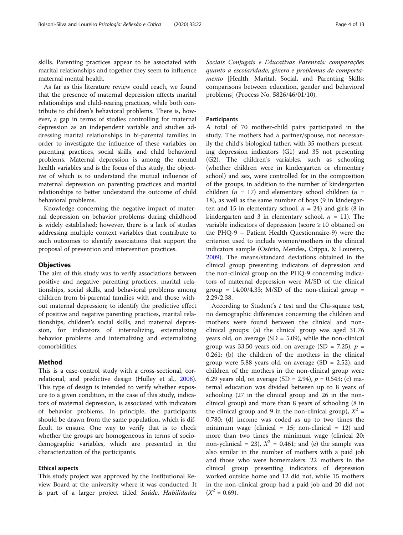skills. Parenting practices appear to be associated with marital relationships and together they seem to influence maternal mental health.

As far as this literature review could reach, we found that the presence of maternal depression affects marital relationships and child-rearing practices, while both contribute to children's behavioral problems. There is, however, a gap in terms of studies controlling for maternal depression as an independent variable and studies addressing marital relationships in bi-parental families in order to investigate the influence of these variables on parenting practices, social skills, and child behavioral problems. Maternal depression is among the mental health variables and is the focus of this study, the objective of which is to understand the mutual influence of maternal depression on parenting practices and marital relationships to better understand the outcome of child behavioral problems.

Knowledge concerning the negative impact of maternal depression on behavior problems during childhood is widely established; however, there is a lack of studies addressing multiple context variables that contribute to such outcomes to identify associations that support the proposal of prevention and intervention practices.

#### **Objectives**

The aim of this study was to verify associations between positive and negative parenting practices, marital relationships, social skills, and behavioral problems among children from bi-parental families with and those without maternal depression; to identify the predictive effect of positive and negative parenting practices, marital relationships, children's social skills, and maternal depression, for indicators of internalizing, externalizing behavior problems and internalizing and externalizing comorbidities.

#### Method

This is a case-control study with a cross-sectional, correlational, and predictive design (Hulley et al., [2008](#page-11-0)). This type of design is intended to verify whether exposure to a given condition, in the case of this study, indicators of maternal depression, is associated with indicators of behavior problems. In principle, the participants should be drawn from the same population, which is difficult to ensure. One way to verify that is to check whether the groups are homogeneous in terms of sociodemographic variables, which are presented in the characterization of the participants.

#### Ethical aspects

This study project was approved by the Institutional Review Board at the university where it was conducted. It is part of a larger project titled Saúde, Habilidades Sociais Conjugais e Educativas Parentais: comparações quanto a escolaridade, gênero e problemas de comportamento [Health, Marital, Social, and Parenting Skills: comparisons between education, gender and behavioral problems] (Process No. 5826/46/01/10).

#### **Participants**

A total of 70 mother-child pairs participated in the study. The mothers had a partner/spouse, not necessarily the child's biological father, with 35 mothers presenting depression indicators (G1) and 35 not presenting (G2). The children's variables, such as schooling (whether children were in kindergarten or elementary school) and sex, were controlled for in the composition of the groups, in addition to the number of kindergarten children ( $n = 17$ ) and elementary school children ( $n =$ 18), as well as the same number of boys (9 in kindergarten and 15 in elementary school,  $n = 24$ ) and girls (8 in kindergarten and 3 in elementary school,  $n = 11$ ). The variable indicators of depression (score  $\geq 10$  obtained on the PHQ-9 – Patient Health Questionnaire-9) were the criterion used to include women/mothers in the clinical indicators sample (Osório, Mendes, Crippa, & Loureiro, [2009](#page-11-0)). The means/standard deviations obtained in the clinical group presenting indicators of depression and the non-clinical group on the PHQ-9 concerning indicators of maternal depression were M/SD of the clinical group =  $14.00/4.33$ ; M/SD of the non-clinical group = 2.29/2.38.

According to Student's  $t$  test and the Chi-square test, no demographic differences concerning the children and mothers were found between the clinical and nonclinical groups: (a) the clinical group was aged 31.76 years old, on average  $(SD = 5.09)$ , while the non-clinical group was 33.50 years old, on average (SD = 7.25),  $p =$ 0.261; (b) the children of the mothers in the clinical group were 5.88 years old, on average  $(SD = 2.52)$ , and children of the mothers in the non-clinical group were 6.29 years old, on average (SD = 2.94),  $p = 0.543$ ; (c) maternal education was divided between up to 8 years of schooling (27 in the clinical group and 26 in the nonclinical group) and more than 8 years of schooling (8 in the clinical group and 9 in the non-clinical group),  $X^2 =$ 0.780; (d) income was coded as up to two times the minimum wage (clinical = 15; non-clinical = 12) and more than two times the minimum wage (clinical 20; non-yclinical = 23),  $X^2$  = 0.461; and (e) the sample was also similar in the number of mothers with a paid job and those who were homemakers: 22 mothers in the clinical group presenting indicators of depression worked outside home and 12 did not, while 15 mothers in the non-clinical group had a paid job and 20 did not  $(X^2 = 0.69)$ .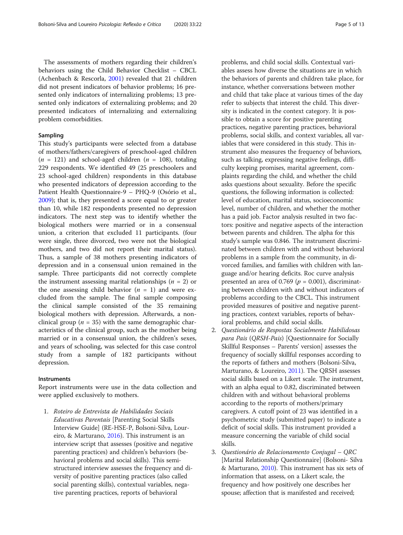The assessments of mothers regarding their children's behaviors using the Child Behavior Checklist – CBCL (Achenbach & Rescorla, [2001\)](#page-11-0) revealed that 21 children did not present indicators of behavior problems; 16 presented only indicators of internalizing problems; 13 presented only indicators of externalizing problems; and 20 presented indicators of internalizing and externalizing problem comorbidities.

### Sampling

This study's participants were selected from a database of mothers/fathers/caregivers of preschool-aged children  $(n = 121)$  and school-aged children  $(n = 108)$ , totaling 229 respondents. We identified 49 (25 preschoolers and 23 school-aged children) respondents in this database who presented indicators of depression according to the Patient Health Questionnaire-9 – PHQ-9 (Osório et al., [2009](#page-11-0)); that is, they presented a score equal to or greater than 10, while 182 respondents presented no depression indicators. The next step was to identify whether the biological mothers were married or in a consensual union, a criterion that excluded 11 participants. (four were single, three divorced, two were not the biological mothers, and two did not report their marital status). Thus, a sample of 38 mothers presenting indicators of depression and in a consensual union remained in the sample. Three participants did not correctly complete the instrument assessing marital relationships  $(n = 2)$  or the one assessing child behavior  $(n = 1)$  and were excluded from the sample. The final sample composing the clinical sample consisted of the 35 remaining biological mothers with depression. Afterwards, a nonclinical group ( $n = 35$ ) with the same demographic characteristics of the clinical group, such as the mother being married or in a consensual union, the children's sexes, and years of schooling, was selected for this case control study from a sample of 182 participants without depression.

#### Instruments

Report instruments were use in the data collection and were applied exclusively to mothers.

1. Roteiro de Entrevista de Habilidades Sociais Educativas Parentais [Parenting Social Skills Interview Guide] (RE-HSE-P, Bolsoni-Silva, Loureiro, & Marturano, [2016\)](#page-11-0). This instrument is an interview script that assesses (positive and negative parenting practices) and children's behaviors (behavioral problems and social skills). This semistructured interview assesses the frequency and diversity of positive parenting practices (also called social parenting skills), contextual variables, negative parenting practices, reports of behavioral

problems, and child social skills. Contextual variables assess how diverse the situations are in which the behaviors of parents and children take place, for instance, whether conversations between mother and child that take place at various times of the day refer to subjects that interest the child. This diversity is indicated in the context category. It is possible to obtain a score for positive parenting practices, negative parenting practices, behavioral problems, social skills, and context variables, all variables that were considered in this study. This instrument also measures the frequency of behaviors, such as talking, expressing negative feelings, difficulty keeping promises, marital agreement, complaints regarding the child, and whether the child asks questions about sexuality. Before the specific questions, the following information is collected: level of education, marital status, socioeconomic level, number of children, and whether the mother has a paid job. Factor analysis resulted in two factors: positive and negative aspects of the interaction between parents and children. The alpha for this study's sample was 0.846. The instrument discriminated between children with and without behavioral problems in a sample from the community, in divorced families, and families with children with language and/or hearing deficits. Roc curve analysis presented an area of 0.769 ( $p = 0.001$ ), discriminating between children with and without indicators of problems according to the CBCL. This instrument provided measures of positive and negative parenting practices, context variables, reports of behavioral problems, and child social skills.

- 2. Questionário de Respostas Socialmente Habilidosas para Pais (QRSH-Pais) [Questionnaire for Socially Skillful Responses – Parents' version] assesses the frequency of socially skillful responses according to the reports of fathers and mothers (Bolsoni-Silva, Marturano, & Loureiro, [2011](#page-11-0)). The ORSH assesses social skills based on a Likert scale. The instrument, with an alpha equal to 0.82, discriminated between children with and without behavioral problems according to the reports of mothers/primary caregivers. A cutoff point of 23 was identified in a psychometric study (submitted paper) to indicate a deficit of social skills. This instrument provided a measure concerning the variable of child social skills.
- 3. Questionário de Relacionamento Conjugal QRC [Marital Relationship Questionnaire] (Bolsoni- Silva & Marturano, [2010](#page-11-0)). This instrument has six sets of information that assess, on a Likert scale, the frequency and how positively one describes her spouse; affection that is manifested and received;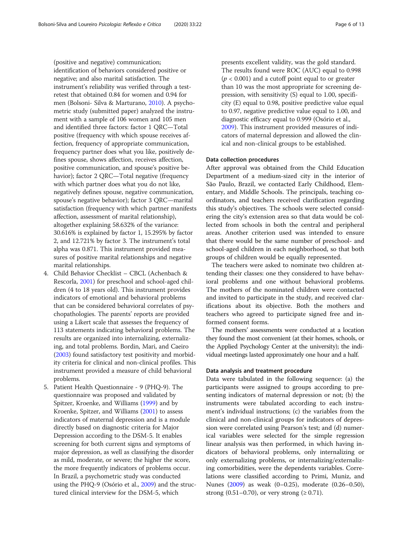(positive and negative) communication; identification of behaviors considered positive or negative; and also marital satisfaction. The instrument's reliability was verified through a testretest that obtained 0.84 for women and 0.94 for men (Bolsoni- Silva & Marturano, [2010\)](#page-11-0). A psychometric study (submitted paper) analyzed the instrument with a sample of 106 women and 105 men and identified three factors: factor 1 QRC—Total positive (frequency with which spouse receives affection, frequency of appropriate communication, frequency partner does what you like, positively defines spouse, shows affection, receives affection, positive communication, and spouse's positive behavior); factor 2 QRC—Total negative (frequency with which partner does what you do not like, negatively defines spouse, negative communication, spouse's negative behavior); factor 3 QRC—marital satisfaction (frequency with which partner manifests affection, assessment of marital relationship), altogether explaining 58.632% of the variance: 30.616% is explained by factor 1, 15.295% by factor 2, and 12.721% by factor 3. The instrument's total alpha was 0.871. This instrument provided measures of positive marital relationships and negative marital relationships.

- 4. Child Behavior Checklist CBCL (Achenbach & Rescorla, [2001](#page-11-0)) for preschool and school-aged children (4 to 18 years old). This instrument provides indicators of emotional and behavioral problems that can be considered behavioral correlates of psychopathologies. The parents' reports are provided using a Likert scale that assesses the frequency of 113 statements indicating behavioral problems. The results are organized into internalizing, externalizing, and total problems. Bordin, Mari, and Caeiro [\(2003\)](#page-11-0) found satisfactory test positivity and morbidity criteria for clinical and non-clinical profiles. This instrument provided a measure of child behavioral problems.
- 5. Patient Health Questionnaire 9 (PHQ-9). The questionnaire was proposed and validated by Spitzer, Kroenke, and Williams ([1999\)](#page-12-0) and by Kroenke, Spitzer, and Williams ([2001\)](#page-11-0) to assess indicators of maternal depression and is a module directly based on diagnostic criteria for Major Depression according to the DSM-5. It enables screening for both current signs and symptoms of major depression, as well as classifying the disorder as mild, moderate, or severe; the higher the score, the more frequently indicators of problems occur. In Brazil, a psychometric study was conducted using the PHQ-9 (Osório et al., [2009\)](#page-11-0) and the structured clinical interview for the DSM-5, which

presents excellent validity, was the gold standard. The results found were ROC (AUC) equal to 0.998  $(p < 0.001)$  and a cutoff point equal to or greater than 10 was the most appropriate for screening depression, with sensitivity (S) equal to 1.00, specificity (E) equal to 0.98, positive predictive value equal to 0.97, negative predictive value equal to 1.00, and diagnostic efficacy equal to 0.999 (Osório et al., [2009\)](#page-11-0). This instrument provided measures of indicators of maternal depression and allowed the clinical and non-clinical groups to be established.

#### Data collection procedures

After approval was obtained from the Child Education Department of a medium-sized city in the interior of São Paulo, Brazil, we contacted Early Childhood, Elementary, and Middle Schools. The principals, teaching coordinators, and teachers received clarification regarding this study's objectives. The schools were selected considering the city's extension area so that data would be collected from schools in both the central and peripheral areas. Another criterion used was intended to ensure that there would be the same number of preschool- and school-aged children in each neighborhood, so that both groups of children would be equally represented.

The teachers were asked to nominate two children attending their classes: one they considered to have behavioral problems and one without behavioral problems. The mothers of the nominated children were contacted and invited to participate in the study, and received clarifications about its objective. Both the mothers and teachers who agreed to participate signed free and informed consent forms.

The mothers' assessments were conducted at a location they found the most convenient (at their homes, schools, or the Applied Psychology Center at the university); the individual meetings lasted approximately one hour and a half.

#### Data analysis and treatment procedure

Data were tabulated in the following sequence: (a) the participants were assigned to groups according to presenting indicators of maternal depression or not; (b) the instruments were tabulated according to each instrument's individual instructions; (c) the variables from the clinical and non-clinical groups for indicators of depression were correlated using Pearson's test; and (d) numerical variables were selected for the simple regression linear analysis was then performed, in which having indicators of behavioral problems, only internalizing or only externalizing problems, or internalizing/externalizing comorbidities, were the dependents variables. Correlations were classified according to Primi, Muniz, and Nunes [\(2009\)](#page-12-0) as weak (0–0.25), moderate (0.26–0.50), strong  $(0.51-0.70)$ , or very strong  $(≥ 0.71)$ .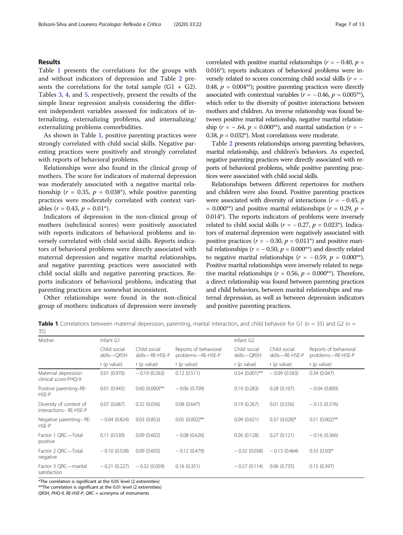#### Results

Table 1 presents the correlations for the groups with and without indicators of depression and Table [2](#page-7-0) presents the correlations for the total sample  $(G1 + G2)$ . Tables [3](#page-7-0), [4,](#page-8-0) and [5,](#page-8-0) respectively, present the results of the simple linear regression analysis considering the different independent variables assessed for indicators of internalizing, externalizing problems, and internalizing/ externalizing problems comorbidities.

As shown in Table 1, positive parenting practices were strongly correlated with child social skills. Negative parenting practices were positively and strongly correlated with reports of behavioral problems.

Relationships were also found in the clinical group of mothers. The score for indicators of maternal depression was moderately associated with a negative marital relationship ( $r = 0.35$ ,  $p = 0.038^{\circ}$ ), while positive parenting practices were moderately correlated with context variables ( $r = 0.43$ ,  $p = 0.01$ <sup>\*</sup>).

Indicators of depression in the non-clinical group of mothers (subclinical scores) were positively associated with reports indicators of behavioral problems and inversely correlated with child social skills. Reports indicators of behavioral problems were directly associated with maternal depression and negative marital relationships, and negative parenting practices were associated with child social skills and negative parenting practices. Reports indicators of behavioral problems, indicating that parenting practices are somewhat inconsistent.

Other relationships were found in the non-clinical group of mothers: indicators of depression were inversely correlated with positive marital relationships ( $r = -0.40$ ,  $p =$ 0.016\*); reports indicators of behavioral problems were inversely related to scores concerning child social skills ( $r = -$ 0.48,  $p = 0.004$ <sup>\*\*</sup>); positive parenting practices were directly associated with contextual variables ( $r = -0.46$ ,  $p = 0.005$ <sup>\*\*</sup>), which refer to the diversity of positive interactions between mothers and children. An inverse relationship was found between positive marital relationship, negative marital relationship ( $r = -0.64$ ,  $p = 0.000$ <sup>\*\*</sup>), and marital satisfaction ( $r = -$ 0.38,  $p = 0.032^*$ ). Most correlations were moderate.

Table [2](#page-7-0) presents relationships among parenting behaviors, marital relationship, and children's behaviors. As expected, negative parenting practices were directly associated with reports of behavioral problems, while positive parenting practices were associated with child social skills.

Relationships between different repertoires for mothers and children were also found. Positive parenting practices were associated with diversity of interactions ( $r = -0.45$ , p  $= 0.000^{**}$ ) and positive marital relationships ( $r = 0.29$ ,  $p =$ 0.014\*). The reports indicators of problems were inversely related to child social skills ( $r = -0.27$ ,  $p = 0.023$ \*). Indicators of maternal depression were negatively associated with positive practices ( $r = -0.30$ ,  $p = 0.011$ <sup>\*</sup>) and positive marital relationships ( $r = -0.50$ ,  $p = 0.000**$ ) and directly related to negative marital relationships ( $r = -0.59$ ,  $p = 0.000**$ ). Positive marital relationships were inversely related to negative marital relationships ( $r = 0.56$ ,  $p = 0.000^{**}$ ). Therefore, a direct relationship was found between parenting practices and child behaviors, between marital relationships and maternal depression, as well as between depression indicators and positive parenting practices.

**Table 1** Correlations between maternal depression, parenting, marital interaction, and child behavior for G1 ( $n = 35$ ) and G2 ( $n =$ 35)

| Mother                                           | Infant G1                   |                                 |                                            | Infant G <sub>2</sub>       |                                 |                                            |  |
|--------------------------------------------------|-----------------------------|---------------------------------|--------------------------------------------|-----------------------------|---------------------------------|--------------------------------------------|--|
|                                                  | Child social<br>skills-QRSH | Child social<br>skills-RE-HSE-P | Reports of behavioral<br>problems-RE-HSE-P | Child social<br>skills-QRSH | Child social<br>skills-RE-HSE-P | Reports of behavioral<br>problems-RE-HSE-P |  |
|                                                  | r (p value)                 | r (p value)                     | r (p value)                                | r (p value)                 | r (p value)                     | r (p value)                                |  |
| Maternal depression<br>clinical score-PHO-9      | 0.01(0.970)                 | $-0.19(0.263)$                  | 0.12(0.511)                                | $0.54(0.001)$ **            | $-0.09(0.583)$                  | 0.34(0.047)                                |  |
| Positive parenting-RE-<br>HSE-P                  | 0.01(0.945)                 | $0.60(0.000)$ **                | $-0.06(0.709)$                             | 0.19(0.283)                 | 0.28(0.107)                     | $-0.04(0.800)$                             |  |
| Diversity of context of<br>interactions-RE-HSE-P | 0.07(0.687)                 | 0.32(0.056)                     | 0.08(0.647)                                | 0.19(0.267)                 | 0.01(0.556)                     | $-0.15(0.376)$                             |  |
| Negative parenting-RE-<br>HSE-P                  | $-0.04(0.824)$              | 0.03(0.853)                     | $0.05(0.002)$ **                           | 0.09(0.621)                 | $0.37(0.028)$ *                 | $0.51(0.002)$ **                           |  |
| Factor 1 QRC-Total<br>positive                   | 0.11(0.530)                 | 0.09(0.602)                     | $-0.08(0.626)$                             | 0.26(0.128)                 | 0.27(0.121)                     | $-0.16(0.366)$                             |  |
| Factor 2 ORC-Total<br>negative                   | $-0.10(0.558)$              | 0.09(0.605)                     | $-0.12(0.479)$                             | $-0.32(0.058)$              | $-0.13(0.464)$                  | $0.33(0.50)$ *                             |  |
| Factor 3 QRC-marital<br>satisfaction             | $-0.21(0.227)$              | $-0.32(0.059)$                  | 0.16(0.351)                                | $-0.27(0.114)$              | 0.06(0.735)                     | 0.15(0.397)                                |  |

\*The correlation is significant at the 0.05 level (2 extremities)

\*\*The correlation is significant at the 0.01 level (2 extremities)

QRSH, PHQ-9, RE-HSE-P, QRC = acronyms of instruments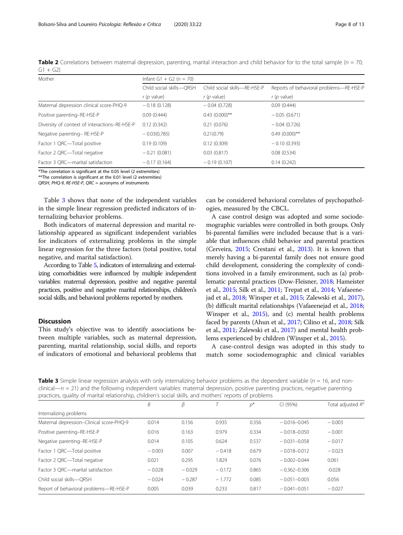<span id="page-7-0"></span>

| <b>Table 2</b> Correlations between maternal depression, parenting, marital interaction and child behavior for to the total sample ( $n = 70$ ; |  |  |  |
|-------------------------------------------------------------------------------------------------------------------------------------------------|--|--|--|
| $G1 + G2$                                                                                                                                       |  |  |  |

| Mother                                        | Infant G1 + G2 ( $n = 70$ ) |                              |                                                         |  |  |  |  |
|-----------------------------------------------|-----------------------------|------------------------------|---------------------------------------------------------|--|--|--|--|
|                                               | Child social skills-ORSH    | Child social skills-RE-HSE-P | Reports of behavioral problems-RE-HSE-P<br>$r(p$ value) |  |  |  |  |
|                                               | $r(p$ value)                | $r(p$ value)                 |                                                         |  |  |  |  |
| Maternal depression clinical score-PHQ-9      | $-0.18(0.128)$              | $-0.04(0.728)$               | 0.09(0.444)                                             |  |  |  |  |
| Positive parenting-RE-HSE-P                   | 0.09(0.444)                 | $0.43$ (0.000)**             | $-0.05(0.671)$                                          |  |  |  |  |
| Diversity of context of interactions-RE-HSE-P | 0.12(0.342)                 | 0.21(0.076)                  | $-0.04(0.726)$                                          |  |  |  |  |
| Negative parenting-RE-HSE-P                   | $-0.03(0.785)$              | 0.21(0.79)                   | $0.49(0.000)$ **                                        |  |  |  |  |
| Factor 1 QRC-Total positive                   | 0.19(0.109)                 | 0.12(0.309)                  | $-0.10(0.393)$                                          |  |  |  |  |
| Factor 2 QRC-Total negative                   | $-0.21(0.081)$              | 0.03(0.817)                  | 0.08(0.534)                                             |  |  |  |  |
| Factor 3 ORC-marital satisfaction             | $-0.17(0.164)$              | $-0.19(0.107)$               | 0.14(0.242)                                             |  |  |  |  |

\*The correlation is significant at the 0.05 level (2 extremities)

\*\*The correlation is significant at the 0.01 level (2 extremities)

QRSH, PHQ-9, RE-HSE-P, QRC = acronyms of instruments

Table 3 shows that none of the independent variables in the simple linear regression predicted indicators of internalizing behavior problems.

Both indicators of maternal depression and marital relationship appeared as significant independent variables for indicators of externalizing problems in the simple linear regression for the three factors (total positive, total negative, and marital satisfaction).

According to Table [5,](#page-8-0) indicators of internalizing and externalizing comorbidities were influenced by multiple independent variables: maternal depression, positive and negative parental practices, positive and negative marital relationships, children's social skills, and behavioral problems reported by mothers.

## **Discussion**

This study's objective was to identify associations between multiple variables, such as maternal depression, parenting, marital relationship, social skills, and reports of indicators of emotional and behavioral problems that can be considered behavioral correlates of psychopathologies, measured by the CBCL.

A case control design was adopted and some sociodemographic variables were controlled in both groups. Only bi-parental families were included because that is a variable that influences child behavior and parental practices (Cerveira, [2015](#page-11-0); Crestani et al., [2013](#page-11-0)). It is known that merely having a bi-parental family does not ensure good child development, considering the complexity of conditions involved in a family environment, such as (a) problematic parental practices (Dow-Fleisner, [2018;](#page-11-0) Hameister et al., [2015](#page-11-0); Silk et al., [2011;](#page-12-0) Trepat et al., [2014;](#page-12-0) Vafaeenejad et al., [2018](#page-12-0); Winsper et al., [2015;](#page-12-0) Zalewski et al., [2017](#page-12-0)), (b) difficult marital relationships (Vafaeenejad et al., [2018](#page-12-0); Winsper et al., [2015](#page-12-0)), and (c) mental health problems faced by parents (Ahun et al., [2017](#page-11-0); Cilino et al., [2018](#page-11-0); Silk et al., [2011](#page-12-0); Zalewski et al., [2017](#page-12-0)) and mental health problems experienced by children (Winsper et al., [2015\)](#page-12-0).

A case-control design was adopted in this study to match some sociodemographic and clinical variables

**Table 3** Simple linear regression analysis with only internalizing behavior problems as the dependent variable ( $n = 16$ , and non $clinical - n = 21$ ) and the following independent variables: maternal depression, positive parenting practices, negative parenting practices, quality of marital relationship, children's social skills, and mothers' reports of problems

|                                          | B        | β        |          | $p^*$ | CI (95%)         | Total adjusted $R^2$ |
|------------------------------------------|----------|----------|----------|-------|------------------|----------------------|
| Internalizing problems                   |          |          |          |       |                  |                      |
| Maternal depression-Clinical score-PHQ-9 | 0.014    | 0.156    | 0.935    | 0.356 | $-0.016 - 0.045$ | $-0.003$             |
| Positive parenting-RE-HSE-P              | 0.016    | 0.163    | 0.979    | 0.334 | $-0.018 - 0.050$ | $-0.001$             |
| Negative parenting-RE-HSE-P              | 0.014    | 0.105    | 0.624    | 0.537 | $-0.031 - 0.058$ | $-0.017$             |
| Factor 1 QRC-Total positive              | $-0.003$ | 0.007    | $-0.418$ | 0.679 | $-0.018 - 0.012$ | $-0.023$             |
| Factor 2 QRC-Total negative              | 0.021    | 0.295    | 1.829    | 0.076 | $-0.002 - 0.044$ | 0.061                |
| Factor 3 ORC-marital satisfaction        | $-0.028$ | $-0.029$ | $-0.172$ | 0.865 | $-0.362 - 0.306$ | $-0.028$             |
| Child social skills-ORSH                 | $-0.024$ | $-0.287$ | $-1.772$ | 0.085 | $-0.051 - 0.003$ | 0.056                |
| Report of behavioral problems-RE-HSE-P   | 0.005    | 0.039    | 0.233    | 0.817 | $-0.041 - 0.051$ | $-0.027$             |
|                                          |          |          |          |       |                  |                      |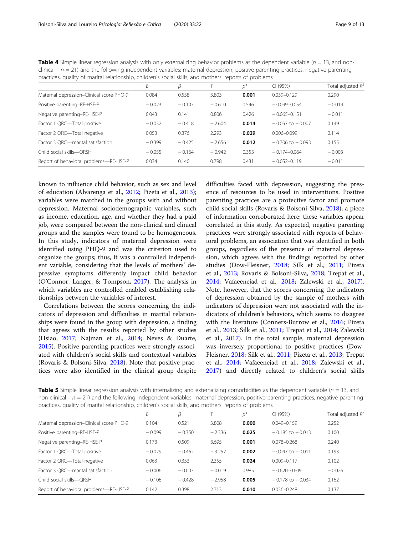| practices, quality of marital relationship, children's social skills, and mothers' reports of problems |          |          |          |       |                      |                      |
|--------------------------------------------------------------------------------------------------------|----------|----------|----------|-------|----------------------|----------------------|
|                                                                                                        | В        | β        |          | $p^*$ | CI (95%)             | Total adjusted $R^2$ |
| Maternal depression-Clinical score-PHQ-9                                                               | 0.084    | 0.558    | 3.803    | 0.001 | $0.039 - 0.129$      | 0.290                |
| Positive parenting-RE-HSE-P                                                                            | $-0.023$ | $-0.107$ | $-0.610$ | 0.546 | $-0.099 - 0.054$     | $-0.019$             |
| Negative parenting-RE-HSE-P                                                                            | 0.043    | 0.141    | 0.806    | 0.426 | $-0.065 - 0.151$     | $-0.011$             |
| Factor 1 QRC-Total positive                                                                            | $-0.032$ | $-0.418$ | $-2.604$ | 0.014 | $-0.057$ to $-0.007$ | 0.149                |
| Factor 2 QRC-Total negative                                                                            | 0.053    | 0.376    | 2.293    | 0.029 | $0.006 - 0.099$      | 0.114                |
| Factor 3 ORC-marital satisfaction                                                                      | $-0.399$ | $-0.425$ | $-2.656$ | 0.012 | $-0.706$ to $-0.093$ | 0.155                |
| Child social skills-ORSH                                                                               | $-0.055$ | $-0.164$ | $-0.942$ | 0.353 | $-0.174 - 0.064$     | $-0.003$             |
| Report of behavioral problems-RE-HSE-P                                                                 | 0.034    | 0.140    | 0.798    | 0.431 | $-0.052-0.119$       | $-0.011$             |

<span id="page-8-0"></span>**Table 4** Simple linear regression analysis with only externalizing behavior problems as the dependent variable ( $n = 13$ , and non $clinical$ —n = 21) and the following independent variables: maternal depression, positive parenting practices, negative parenting

known to influence child behavior, such as sex and level of education (Alvarenga et al., [2012;](#page-11-0) Pizeta et al., [2013](#page-11-0)); variables were matched in the groups with and without depression. Maternal sociodemographic variables, such as income, education, age, and whether they had a paid job, were compared between the non-clinical and clinical groups and the samples were found to be homogeneous. In this study, indicators of maternal depression were identified using PHQ-9 and was the criterion used to organize the groups; thus, it was a controlled independent variable, considering that the levels of mothers' depressive symptoms differently impact child behavior (O'Connor, Langer, & Tompson, [2017\)](#page-11-0). The analysis in which variables are controlled enabled establishing relationships between the variables of interest.

Correlations between the scores concerning the indicators of depression and difficulties in marital relationships were found in the group with depression, a finding that agrees with the results reported by other studies (Hsiao, [2017](#page-11-0); Najman et al., [2014](#page-11-0); Neves & Duarte, [2015](#page-11-0)). Positive parenting practices were strongly associated with children's social skills and contextual variables (Rovaris & Bolsoni-Silva, [2018](#page-12-0)). Note that positive practices were also identified in the clinical group despite difficulties faced with depression, suggesting the presence of resources to be used in interventions. Positive parenting practices are a protective factor and promote child social skills (Rovaris & Bolsoni-Silva, [2018\)](#page-12-0), a piece of information corroborated here; these variables appear correlated in this study. As expected, negative parenting practices were strongly associated with reports of behavioral problems, an association that was identified in both groups, regardless of the presence of maternal depression, which agrees with the findings reported by other studies (Dow-Fleisner, [2018](#page-11-0); Silk et al., [2011;](#page-12-0) Pizeta et al., [2013](#page-11-0); Rovaris & Bolsoni-Silva, [2018](#page-12-0); Trepat et al., [2014](#page-12-0); Vafaeenejad et al., [2018;](#page-12-0) Zalewski et al., [2017](#page-12-0)). Note, however, that the scores concerning the indicators of depression obtained by the sample of mothers with indicators of depression were not associated with the indicators of children's behaviors, which seems to disagree with the literature (Conners-Burrow et al., [2016;](#page-11-0) Pizeta et al., [2013](#page-11-0); Silk et al., [2011](#page-12-0); Trepat et al., [2014;](#page-12-0) Zalewski et al., [2017](#page-12-0)). In the total sample, maternal depression was inversely proportional to positive practices (Dow-Fleisner, [2018](#page-11-0); Silk et al., [2011](#page-12-0); Pizeta et al., [2013;](#page-11-0) Trepat et al., [2014](#page-12-0); Vafaeenejad et al., [2018;](#page-12-0) Zalewski et al., [2017](#page-12-0)) and directly related to children's social skills

**Table 5** Simple linear regression analysis with internalizing and externalizing comorbidities as the dependent variable ( $n = 13$ , and non-clinical—n = 21) and the following independent variables: maternal depression, positive parenting practices, negative parenting practices, quality of marital relationship, children's social skills, and mothers' reports of problems

|                                          | B        | β        |          | $\mathcal{D}^*$ | CI (95%)             | Total adjusted R <sup>4</sup> |
|------------------------------------------|----------|----------|----------|-----------------|----------------------|-------------------------------|
| Maternal depression-Clinical score-PHQ-9 | 0.104    | 0.521    | 3.808    | 0.000           | $0.049 - 0.159$      | 0.252                         |
| Positive parenting-RE-HSE-P              | $-0.099$ | $-0.350$ | $-2.336$ | 0.025           | $-0.185$ to $-0.013$ | 0.100                         |
| Negative parenting-RE-HSE-P              | 0.173    | 0.509    | 3.695    | 0.001           | $0.078 - 0.268$      | 0.240                         |
| Factor 1 QRC-Total positive              | $-0.029$ | $-0.462$ | $-3.252$ | 0.002           | $-0.047$ to $-0.011$ | 0.193                         |
| Factor 2 QRC-Total negative              | 0.063    | 0.353    | 2.355    | 0.024           | $0.009 - 0.117$      | 0.102                         |
| Factor 3 ORC-marital satisfaction        | $-0.006$ | $-0.003$ | $-0.019$ | 0.985           | $-0.620 - 0.609$     | $-0.026$                      |
| Child social skills-ORSH                 | $-0.106$ | $-0.428$ | $-2.958$ | 0.005           | $-0.178$ to $-0.034$ | 0.162                         |
| Report of behavioral problems-RE-HSE-P   | 0.142    | 0.398    | 2.713    | 0.010           | $0.036 - 0.248$      | 0.137                         |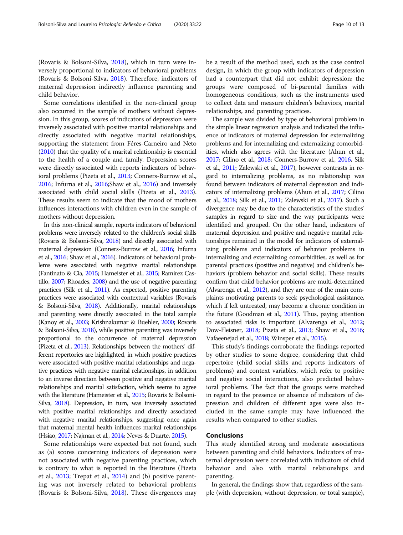(Rovaris & Bolsoni-Silva, [2018](#page-12-0)), which in turn were inversely proportional to indicators of behavioral problems (Rovaris & Bolsoni-Silva, [2018](#page-12-0)). Therefore, indicators of maternal depression indirectly influence parenting and child behavior.

Some correlations identified in the non-clinical group also occurred in the sample of mothers without depression. In this group, scores of indicators of depression were inversely associated with positive marital relationships and directly associated with negative marital relationships, supporting the statement from Féres-Carneiro and Neto ([2010](#page-11-0)) that the quality of a marital relationship is essential to the health of a couple and family. Depression scores were directly associated with reports indicators of behavioral problems (Pizeta et al., [2013;](#page-11-0) Conners-Burrow et al., [2016;](#page-11-0) Infurna et al., [2016](#page-11-0);Shaw et al., [2016\)](#page-12-0) and inversely associated with child social skills (Pizeta et al., [2013](#page-11-0)). These results seem to indicate that the mood of mothers influences interactions with children even in the sample of mothers without depression.

In this non-clinical sample, reports indicators of behavioral problems were inversely related to the children's social skills (Rovaris & Bolsoni-Silva, [2018](#page-12-0)) and directly associated with maternal depression (Conners-Burrow et al., [2016;](#page-11-0) Infurna et al., [2016](#page-11-0); Shaw et al., [2016\)](#page-12-0). Indicators of behavioral problems were associated with negative marital relationships (Fantinato & Cia, [2015;](#page-11-0) Hameister et al., [2015;](#page-11-0) Ramirez Castillo, [2007;](#page-12-0) Rhoades, [2008](#page-12-0)) and the use of negative parenting practices (Silk et al., [2011](#page-12-0)). As expected, positive parenting practices were associated with contextual variables (Rovaris & Bolsoni-Silva, [2018\)](#page-12-0). Additionally, marital relationships and parenting were directly associated in the total sample (Kanoy et al., [2003;](#page-11-0) Krishnakumar & Buehler, [2000;](#page-11-0) Rovaris & Bolsoni-Silva, [2018\)](#page-12-0), while positive parenting was inversely proportional to the occurrence of maternal depression (Pizeta et al., [2013\)](#page-11-0). Relationships between the mothers' different repertories are highlighted, in which positive practices were associated with positive marital relationships and negative practices with negative marital relationships, in addition to an inverse direction between positive and negative marital relationships and marital satisfaction, which seems to agree with the literature (Hameister et al., [2015;](#page-11-0) Rovaris & Bolsoni-Silva, [2018\)](#page-12-0). Depression, in turn, was inversely associated with positive marital relationships and directly associated with negative marital relationships, suggesting once again that maternal mental health influences marital relationships (Hsiao, [2017;](#page-11-0) Najman et al., [2014](#page-11-0); Neves & Duarte, [2015](#page-11-0)).

Some relationships were expected but not found, such as (a) scores concerning indicators of depression were not associated with negative parenting practices, which is contrary to what is reported in the literature (Pizeta et al., [2013](#page-11-0); Trepat et al., [2014](#page-12-0)) and (b) positive parenting was not inversely related to behavioral problems (Rovaris & Bolsoni-Silva, [2018](#page-12-0)). These divergences may be a result of the method used, such as the case control design, in which the group with indicators of depression had a counterpart that did not exhibit depression; the groups were composed of bi-parental families with homogeneous conditions, such as the instruments used to collect data and measure children's behaviors, marital relationships, and parenting practices.

The sample was divided by type of behavioral problem in the simple linear regression analysis and indicated the influence of indicators of maternal depression for externalizing problems and for internalizing and externalizing comorbidities, which also agrees with the literature (Ahun et al., [2017;](#page-11-0) Cilino et al., [2018](#page-11-0); Conners-Burrow et al., [2016,](#page-11-0) Silk et al., [2011;](#page-12-0) Zalewski et al., [2017\)](#page-12-0), however contrasts in regard to internalizing problems, as no relationship was found between indicators of maternal depression and indicators of internalizing problems (Ahun et al., [2017;](#page-11-0) Cilino et al., [2018](#page-11-0); Silk et al., [2011;](#page-12-0) Zalewski et al., [2017\)](#page-12-0). Such a divergence may be due to the characteristics of the studies' samples in regard to size and the way participants were identified and grouped. On the other hand, indicators of maternal depression and positive and negative marital relationships remained in the model for indicators of externalizing problems and indicators of behavior problems in internalizing and externalizing comorbidities, as well as for parental practices (positive and negative) and children's behaviors (problem behavior and social skills). These results confirm that child behavior problems are multi-determined (Alvarenga et al., [2012](#page-11-0)), and they are one of the main complaints motivating parents to seek psychological assistance, which if left untreated, may become a chronic condition in the future (Goodman et al., [2011\)](#page-11-0). Thus, paying attention to associated risks is important (Alvarenga et al., [2012](#page-11-0); Dow-Fleisner, [2018](#page-11-0); Pizeta et al., [2013](#page-11-0); Shaw et al., [2016](#page-12-0); Vafaeenejad et al., [2018](#page-12-0); Winsper et al., [2015\)](#page-12-0).

This study's findings corroborate the findings reported by other studies to some degree, considering that child repertoire (child social skills and reports indicators of problems) and context variables, which refer to positive and negative social interactions, also predicted behavioral problems. The fact that the groups were matched in regard to the presence or absence of indicators of depression and children of different ages were also included in the same sample may have influenced the results when compared to other studies.

# Conclusions

This study identified strong and moderate associations between parenting and child behaviors. Indicators of maternal depression were correlated with indicators of child behavior and also with marital relationships and parenting.

In general, the findings show that, regardless of the sample (with depression, without depression, or total sample),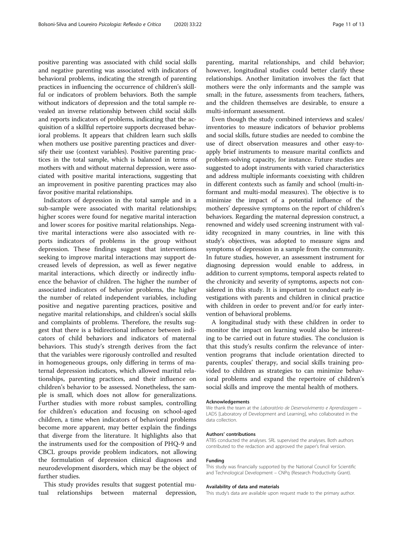positive parenting was associated with child social skills and negative parenting was associated with indicators of behavioral problems, indicating the strength of parenting practices in influencing the occurrence of children's skillful or indicators of problem behaviors. Both the sample without indicators of depression and the total sample revealed an inverse relationship between child social skills and reports indicators of problems, indicating that the acquisition of a skillful repertoire supports decreased behavioral problems. It appears that children learn such skills when mothers use positive parenting practices and diversify their use (context variables). Positive parenting practices in the total sample, which is balanced in terms of mothers with and without maternal depression, were associated with positive marital interactions, suggesting that an improvement in positive parenting practices may also favor positive marital relationships.

Indicators of depression in the total sample and in a sub-sample were associated with marital relationships; higher scores were found for negative marital interaction and lower scores for positive marital relationships. Negative marital interactions were also associated with reports indicators of problems in the group without depression. These findings suggest that interventions seeking to improve marital interactions may support decreased levels of depression, as well as fewer negative marital interactions, which directly or indirectly influence the behavior of children. The higher the number of associated indicators of behavior problems, the higher the number of related independent variables, including positive and negative parenting practices, positive and negative marital relationships, and children's social skills and complaints of problems. Therefore, the results suggest that there is a bidirectional influence between indicators of child behaviors and indicators of maternal behaviors. This study's strength derives from the fact that the variables were rigorously controlled and resulted in homogeneous groups, only differing in terms of maternal depression indicators, which allowed marital relationships, parenting practices, and their influence on children's behavior to be assessed. Nonetheless, the sample is small, which does not allow for generalizations. Further studies with more robust samples, controlling for children's education and focusing on school-aged children, a time when indicators of behavioral problems become more apparent, may better explain the findings that diverge from the literature. It highlights also that the instruments used for the composition of PHQ-9 and CBCL groups provide problem indicators, not allowing the formulation of depression clinical diagnoses and neurodevelopment disorders, which may be the object of further studies.

This study provides results that suggest potential mutual relationships between maternal depression,

parenting, marital relationships, and child behavior; however, longitudinal studies could better clarify these relationships. Another limitation involves the fact that mothers were the only informants and the sample was small; in the future, assessments from teachers, fathers, and the children themselves are desirable, to ensure a multi-informant assessment.

Even though the study combined interviews and scales/ inventories to measure indicators of behavior problems and social skills, future studies are needed to combine the use of direct observation measures and other easy-toapply brief instruments to measure marital conflicts and problem-solving capacity, for instance. Future studies are suggested to adopt instruments with varied characteristics and address multiple informants coexisting with children in different contexts such as family and school (multi-informant and multi-modal measures). The objective is to minimize the impact of a potential influence of the mothers' depressive symptoms on the report of children's behaviors. Regarding the maternal depression construct, a renowned and widely used screening instrument with validity recognized in many countries, in line with this study's objectives, was adopted to measure signs and symptoms of depression in a sample from the community. In future studies, however, an assessment instrument for diagnosing depression would enable to address, in addition to current symptoms, temporal aspects related to the chronicity and severity of symptoms, aspects not considered in this study. It is important to conduct early investigations with parents and children in clinical practice with children in order to prevent and/or for early intervention of behavioral problems.

A longitudinal study with these children in order to monitor the impact on learning would also be interesting to be carried out in future studies. The conclusion is that this study's results confirm the relevance of intervention programs that include orientation directed to parents, couples' therapy, and social skills training provided to children as strategies to can minimize behavioral problems and expand the repertoire of children's social skills and improve the mental health of mothers.

#### Acknowledgements

We thank the team at the Laboratório de Desenvolvimento e Aprendizagem – LADS [Laboratory of Development and Learning], who collaborated in the data collection.

#### Authors' contributions

ATBS conducted the analyses. SRL supervised the analyses. Both authors contributed to the redaction and approved the paper's final version.

#### Funding

This study was financially supported by the National Council for Scientific and Technological Development – CNPq (Research Productivity Grant).

#### Availability of data and materials

This study's data are available upon request made to the primary author.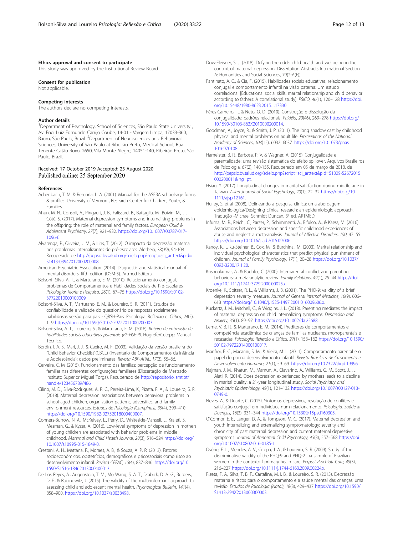#### <span id="page-11-0"></span>Ethics approval and consent to participate

This study was approved by the Institutional Review Board.

#### Consent for publication

Not applicable.

#### Competing interests

The authors declare no competing interests.

#### Author details

<sup>1</sup>Department of Psychology, School of Sciences, São Paulo State University, Av. Eng. Luiz Edmundo Carrijo Coube, 14-01 - Vargem Limpa, 17033-360, Bauru, São Paulo, Brazil. <sup>2</sup>Department of Neurosciences and Behavioral Sciences, University of São Paulo at Ribeirão Preto, Medical School, Rua Tenente Catão Roxo, 2650, Vila Monte Alegre, 14051-140, Ribeirão Preto, São Paulo, Brazil.

#### Received: 17 October 2019 Accepted: 23 August 2020 Published online: 25 September 2020

#### References

- Achenbach, T. M. & Rescorla, L. A. (2001). Manual for the ASEBA school-age forms & profiles. University of Vermont, Research Center for Children, Youth, & Families.
- Ahun, M. N., Consoli, A., Pingault, J. B., Falissard, B., Battaglia, M., Boivin, M., .. Côté, S. (2017). Maternal depression symptoms and internalising problems in the offspring: the role of maternal and family factors. European Child & Adolescent Psychiatry, 27(7), 921–932. [https://doi.org/10.1007/s00787-017-](https://doi.org/10.1007/s00787-017-1096-6) [1096-6.](https://doi.org/10.1007/s00787-017-1096-6)
- Alvarenga, P., Oliveira, J. M., & Lins, T. (2012). O impacto da depressão materna nos problemas internalizantes de pré-escolares. Aletheia, 38(39), 94-108. Recuperado de [http://pepsic.bvsalud.org/scielo.php?script=sci\\_arttext&pid=](http://pepsic.bvsalud.org/scielo.php?script=sci_arttext&pid=S1413-03942012000200008) [S1413-03942012000200008.](http://pepsic.bvsalud.org/scielo.php?script=sci_arttext&pid=S1413-03942012000200008)
- American Psychiatric Association. (2014). Diagnostic and statistical manual of mental disorders, fifth edition (DSM-5). Artmed Editora.
- Bolsoni- Silva, A. T., & Marturano, E. M. (2010). Relacionamento conjugal, problemas de Comportamentos e Habilidades Sociais de Pré-Escolares. Psicologia: Teoria e Pesquisa, 26(1), 67–75 [https://doi.org/10.1590/S0102-](https://doi.org/10.1590/S0102-37722010000100009) [37722010000100009.](https://doi.org/10.1590/S0102-37722010000100009)
- Bolsoni-Silva, A. T., Marturano, E. M., & Loureiro, S. R. (2011). Estudos de confiabilidade e validade do questionário de respostas socialmente habilidosas versão para pais - QRSH-Pais. Psicologia: Reflexão e. Crítica, 24(2), 1–9 <https://doi.org/10.1590/S0102-79722011000200003>.
- Bolsoni-Silva, A. T., Loureiro, S., & Marturano, E. M. (2016). Roteiro de entrevista de habilidades sociais educativas parentais (RE-HSE-P). Hogrefe/Cetepp: Manual Técnico.
- Bordin, I. A. S., Mari, J. J., & Caeiro, M. F. (2003). Validação da versão brasileira do "Child Behavior Checklist"(CBCL) (Inventário de Comportamentos da Infância e Adolescência): dados preliminares. Revista ABP-APAL, 17(2), 55–66.
- Cerveira, C. M. (2015). Funcionamento das famílias: percepção de funcionamento familiar nas diferentes configurações familiares (Dissertação de Mestrado, Instituto Superior Miguel Torga). Recuperado de [http://repositorio.ismt.pt/](http://repositorio.ismt.pt/handle/123456789/486) [handle/123456789/486](http://repositorio.ismt.pt/handle/123456789/486)

Cilino, M. D., Silva-Rodrigues, A. P. C., Pereira-Lima, K., Pizeta, F. A., & Loureiro, S. R. (2018). Maternal depression: associations between behavioral problems in school-aged children, organization patterns, adversities, and family environment resources. Estudos de Psicologia (Campinas), 35(4), 399–410 [https://doi.org/10.1590/1982-02752018000400007.](https://doi.org/10.1590/1982-02752018000400007)

- Conners-Burrow, N. A., McKelvey, L., Perry, D., Whiteside-Mansell, L., Kraleti, S., Mesman, G., & Kyzer, A. (2016). Low-level symptoms of depression in mothers of young children are associated with behavior problems in middle childhood. Maternal and Child Health Journal, 20(3), 516–524 [https://doi.org/](https://doi.org/10.1007/s10995-015-1849-0) [10.1007/s10995-015-1849-0.](https://doi.org/10.1007/s10995-015-1849-0)
- Crestani, A. H., Mattana, F., Moraes, A. B., & Souza, A. P. R. (2013). Fatores socioeconômicos, obstetrícios, demográficos e psicossociais como risco ao desenvolvimento infantil. Revista CEFAC, 15(4), 837–846. [https://doi.org/10.](https://doi.org/10.1590/S1516-18462013000400013) [1590/S1516-18462013000400013.](https://doi.org/10.1590/S1516-18462013000400013)
- De Los Reyes, A., Augenstein, T. M., Mo Wang, S. A. T., Drabick, D. A. G., Burgers, D. E., & Rabinowitz, J. (2015). The validity of the multi-informant approach to assessing child and adolescent mental health. Psychological Bulletin, 141(4), 858–900. <https://doi.org/10.1037/a0038498>.
- Dow-Fleisner, S. J. (2018). Defying the odds: child health and wellbeing in the context of maternal depression. Dissertation Abstracts International Section A: Humanities and Social Sciences, 79(2-A(E)).
- Fantinato, A. C., & Cia, F. (2015). Habilidades sociais educativas, relacionamento conjugal e comportamento infantil na visão paterna: Um estudo correlacional [Educational social skills, marital relationship and child behavior according to fathers: A correlational study]. PSICO, 46(1), 120-128 [https://doi.](https://doi.org/10.15448/1980-8623.2015.1.17330) [org/10.15448/1980-8623.2015.1.17330](https://doi.org/10.15448/1980-8623.2015.1.17330).
- Féres-Carneiro, T., & Neto, O. D. (2010). Construção e dissolução da conjugalidade: padrões relacionais. Paidéia, 20(46), 269–278 [https://doi.org/](https://doi.org/10.1590/S0103-863X2010000200014) [10.1590/S0103-863X2010000200014](https://doi.org/10.1590/S0103-863X2010000200014).
- Goodman, A., Joyce, R., & Smith, J. P. (2011). The long shadow cast by childhood physical and mental problems on adult life. Proceedings of the National Academy of Sciences, 108(15), 6032–6037. [https://doi.org/10.1073/pnas.](https://doi.org/10.1073/pnas.1016970108) [1016970108.](https://doi.org/10.1073/pnas.1016970108)
- Hameister, B. R., Barbosa, P. V. & Wagner, A. (2015). Conjugalidade e parentalidade: uma revisão sistemática do efeito spillover. Arquivos Brasileiros de Psicologia, 67(2), 140-155. Recuperado em 05 de março de 2018, de [http://pepsic.bvsalud.org/scielo.php?script=sci\\_arttext&pid=S1809-52672015](http://pepsic.bvsalud.org/scielo.php?script=sci_arttext&pid=S1809-52672015000200011&lng=pt) [000200011&lng=pt.](http://pepsic.bvsalud.org/scielo.php?script=sci_arttext&pid=S1809-52672015000200011&lng=pt)
- Hsiao, Y. (2017). Longitudinal changes in marital satisfaction during middle age in Taiwan. Asian Journal of Social Psychology, 20(1), 22–32 [https://doi.org/10.](https://doi.org/10.1111/ajsp.12161) [1111/ajsp.12161](https://doi.org/10.1111/ajsp.12161).
- Hulley, S. et al (2008). Delineando a pesquisa clínica: uma abordagem epidemiológica/Designing clinical research: an epidemiologic approach. Tradução -Michael Schmidt Duncan. 3ª ed. ARTMED.
- Infurna, M. R., Reichl, C., Parzer, P., Schimmenti, A., Bifulco, A., & Kaess, M. (2016). Associations between depression and specific childhood experiences of abuse and neglect: a meta-analysis. Journal of Affective Disorders, 190, 47–55 <https://doi.org/10.1016/j.jad.2015.09.006>.
- Kanoy, K., Ulku-Steiner, B., Cox, M., & Burchinal, M. (2003). Marital relationship and individual psychological characteristics that predict physical punishment of children. Journal of Family Psychology, 17(1), 20–28 [https://doi.org/10.1037/](https://doi.org/10.1037/0893-3200.17.1.20) [0893-3200.17.1.20.](https://doi.org/10.1037/0893-3200.17.1.20)
- Krishnakumar, A., & Buehler, C. (2000). Interparental conflict and parenting behaviors: a meta-analytic review. Family Relations, 49(1), 25–44 [https://doi.](https://doi.org/10.1111/j.1741-3729.2000.00025.x) [org/10.1111/j.1741-3729.2000.00025.x](https://doi.org/10.1111/j.1741-3729.2000.00025.x).
- Kroenke, K., Spitzer, R. L., & Williams, J. B. (2001). The PHQ-9: validity of a brief depression severity measure. Journal of General Internal Medicine, 16(9), 606– 613 <https://doi.org/10.1046/j.1525-1497.2001.016009606.x>.
- Kuckertz, J. M., Mitchell, C., & Wiggins, J. L. (2018). Parenting mediates the impact of maternal depression on child internalizing symptoms. Depression and Anxiety, 35(1), 89–97. [https://doi.org/10.1002/da.22688.](https://doi.org/10.1002/da.22688)
- Leme, V. B. R., & Marturano, E. M. (2014). Preditores de comportamentos e competência acadêmica de crianças de famílias nucleares, monoparentais e recasadas. Psicologia: Reflexão e Crítica, 27(1), 153–162 [https://doi.org/10.1590/](https://doi.org/10.1590/S0102-79722014000100017) [S0102-79722014000100017.](https://doi.org/10.1590/S0102-79722014000100017)
- Manfroi, E. C., Macarini, S. M., & Vieira, M. L. (2011). Comportamento parental e o papel do pai no desenvolvimento infantil. Revista Brasileira de Crescimento e Desenvolvimento Humano, 21(1), 59–69. <https://doi.org/10.7322/jhgd.19996>.
- Najman, J. M., Khatun, M., Mamun, A., Clavarino, A., Williams, G. M., Scott, J., … Alati, R. (2014). Does depression experienced by mothers leads to a decline in marital quality: a 21-year longitudinal study. Social Psychiatry and Psychiatric Epidemiology, 49(1), 121–132 [https://doi.org/10.1007/s00127-013-](https://doi.org/10.1007/s00127-013-0749-0) [0749-0.](https://doi.org/10.1007/s00127-013-0749-0)
- Neves, A., & Duarte, C. (2015). Sintomas depressivos, resolução de conflitos e satisfação conjugal em indivíduos num relacionamento. Psicologia, Saúde & Doenças, 16(3), 331–344 [https://doi.org/10.15309/15psd160305.](https://doi.org/10.15309/15psd160305)
- O'Connor, E. E., Langer, D. A., & Tompson, M. C. (2017). Maternal depression and youth internalizing and externalizing symptomatology: severity and chronicity of past maternal depression and current maternal depressive symptoms. Journal of Abnormal Child Psychology, 45(3), 557–568 [https://doi.](https://doi.org/10.1007/s10802-016-0185-1) [org/10.1007/s10802-016-0185-1](https://doi.org/10.1007/s10802-016-0185-1).
- Osório, F. L., Mendes, A. V., Crippa, J. A., & Loureiro, S. R. (2009). Study of the discriminative validity of the PHQ-9 and PHQ-2 ina sample of Brazilian women in the contexto f primary healh care. Perpsct Psychiatr Care, 45(3), 216–227 <https://doi.org/10.1111/j.1744-6163.2009.00224.x>.
- Pizeta, F. A., Silva, T. B. F., Cartafina, M. I. B., & Loureiro, S. R. (2013). Depressão materna e riscos para o comportamento e a saúde mental das crianças: uma revisão. Estudos de Psicologia (Natal), 18(3), 429–437 [https://doi.org/10.1590/](https://doi.org/10.1590/S1413-294X2013000300003) [S1413-294X2013000300003](https://doi.org/10.1590/S1413-294X2013000300003).